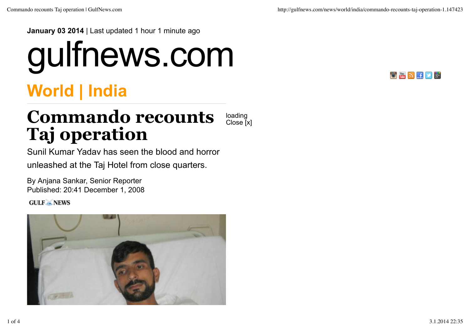**January 03 2014** | Last updated 1 hour 1 minute ago

## gulfnews.com



## **World | India**

## **Commando recounts Taj operation** loading Close [x]

Sunil Kumar Yadav has seen the blood and horror unleashed at the Taj Hotel from close quarters.

By Anjana Sankar, Senior Reporter Published: 20:41 December 1, 2008

**GULF** NEWS

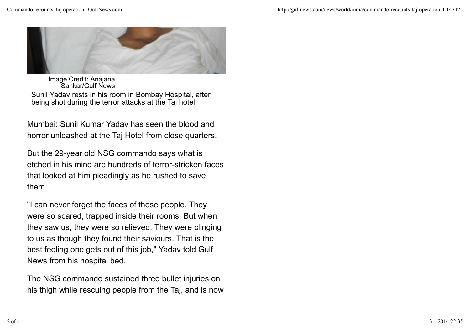

Image Credit: Anajana Sankar/Gulf News Sunil Yadav rests in his room in Bombay Hospital, after being shot during the terror attacks at the Taj hotel.

Mumbai: Sunil Kumar Yadav has seen the blood and horror unleashed at the Taj Hotel from close quarters.

But the 29-year old NSG commando says what is etched in his mind are hundreds of terror-stricken faces that looked at him pleadingly as he rushed to save them.

"I can never forget the faces of those people. They were so scared, trapped inside their rooms. But when they saw us, they were so relieved. They were clinging to us as though they found their saviours. That is the best feeling one gets out of this job," Yadav told Gulf News from his hospital bed.

The NSG commando sustained three bullet injuries on his thigh while rescuing people from the Taj, and is now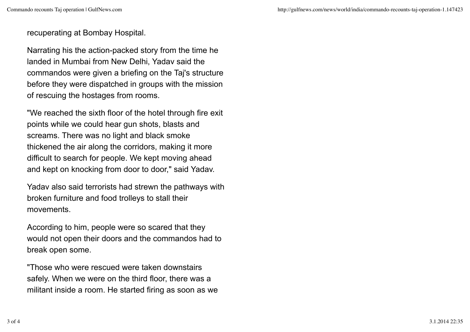recuperating at Bombay Hospital.

Narrating his the action-packed story from the time he landed in Mumbai from New Delhi, Yadav said the commandos were given a briefing on the Taj's structure before they were dispatched in groups with the mission of rescuing the hostages from rooms.

"We reached the sixth floor of the hotel through fire exit points while we could hear gun shots, blasts and screams. There was no light and black smoke thickened the air along the corridors, making it more difficult to search for people. We kept moving ahead and kept on knocking from door to door," said Yadav.

Yadav also said terrorists had strewn the pathways with broken furniture and food trolleys to stall their movements.

According to him, people were so scared that they would not open their doors and the commandos had to break open some.

"Those who were rescued were taken downstairs safely. When we were on the third floor, there was a militant inside a room. He started firing as soon as we